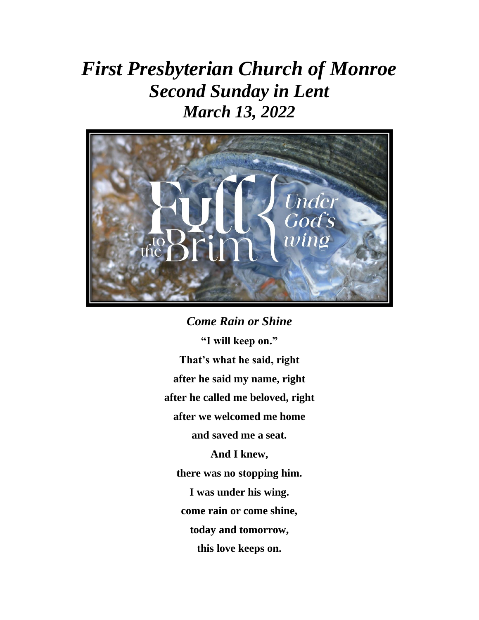# *First Presbyterian Church of Monroe Second Sunday in Lent March 13, 2022*



*Come Rain or Shine* **"I will keep on." That's what he said, right after he said my name, right after he called me beloved, right after we welcomed me home and saved me a seat. And I knew, there was no stopping him. I was under his wing. come rain or come shine, today and tomorrow, this love keeps on.**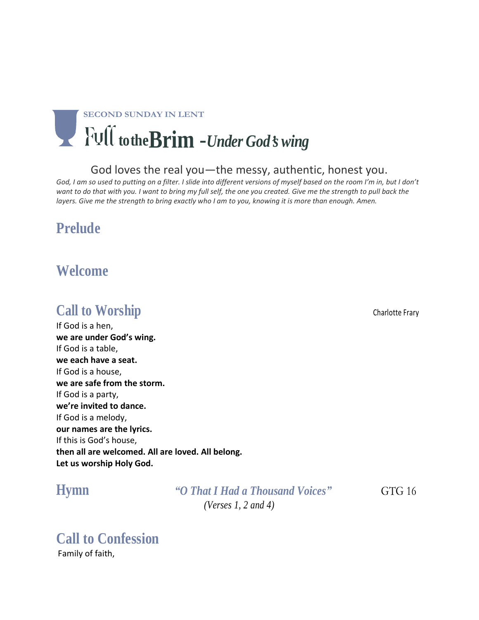# **SECOND SUNDAY IN LENT totheBrim** -*Under God***'***s wing*

#### God loves the real you—the messy, authentic, honest you.

God, I am so used to putting on a filter. I slide into different versions of myself based on the room I'm in, but I don't want to do that with you. I want to bring my full self, the one you created. Give me the strength to pull back the layers. Give me the strength to bring exactly who I am to you, knowing it is more than enough. Amen.

## **Prelude**

### **Welcome**

## **Call to Worship Charlotte Frary** Charlotte Frary

If God is a hen, **we are under God's wing.** If God is a table, **we each have a seat.** If God is a house, **we are safe from the storm.** If God is a party, **we're invited to dance.** If God is a melody, **our names are the lyrics.** If this is God's house, **then all are welcomed. All are loved. All belong. Let us worship Holy God.**

**Hymn** *"O That I Had a Thousand Voices"*GTG 16 *(Verses 1, 2 and 4)*

# **Call to Confession**

Family of faith,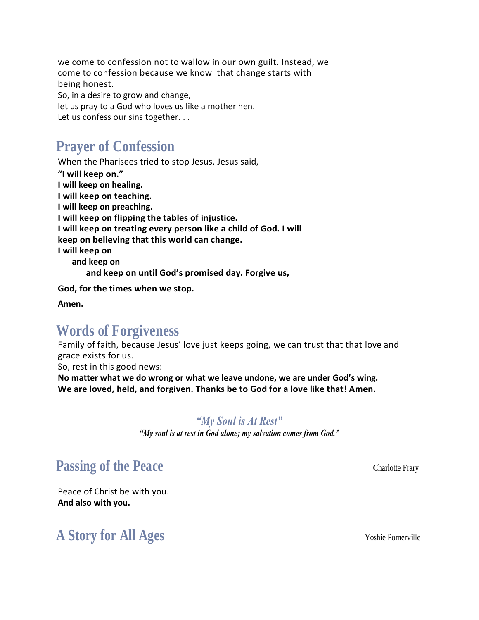we come to confession not to wallow in our own guilt. Instead, we come to confession because we know that change starts with being honest. So, in a desire to grow and change, let us pray to a God who loves us like a mother hen.

Let us confess our sins together...

## **Prayer of Confession**

When the Pharisees tried to stop Jesus, Jesus said, **"I will keep on." I will keep on healing. I will keep on teaching. I will keep on preaching. I will keep on flipping the tables of injustice. I will keep on treating every person like a child of God. I will keep on believing that this world can change. I will keep on and keep on and keep on until God's promised day. Forgive us,** 

**God, for the times when we stop.**

**Amen.**

#### **Words of Forgiveness**

Family of faith, because Jesus' love just keeps going, we can trust that that love and grace exists for us.

So, rest in this good news:

**No matter what we do wrong or what we leave undone, we are under God's wing. We are loved, held, and forgiven. Thanks be to God for a love like that! Amen.**

#### *"My Soul is At Rest"*

*"My soul is at rest in God alone; my salvation comes from God."*

## **Passing of the Peace Charlotte Frary**

Peace of Christ be with you. **And also with you.**

## **A Story for All Ages** Yoshie Pomerville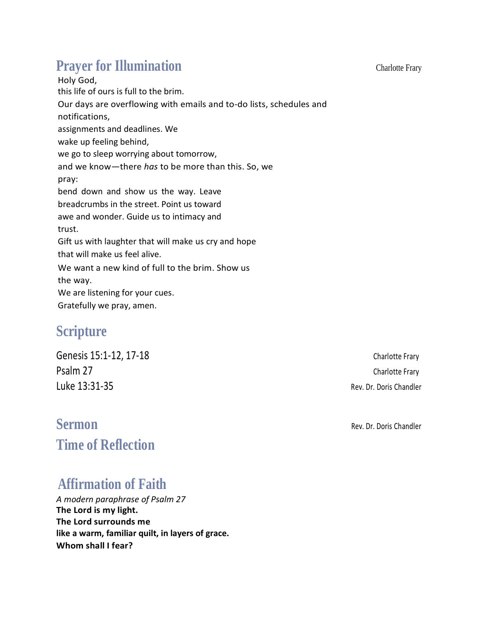## **Prayer for Illumination** Charlotte Frary

Holy God, this life of ours is full to the brim. Our days are overflowing with emails and to-do lists, schedules and notifications, assignments and deadlines. We wake up feeling behind, we go to sleep worrying about tomorrow, and we know—there *has* to be more than this. So, we pray: bend down and show us the way. Leave breadcrumbs in the street. Point us toward awe and wonder. Guide us to intimacy and trust. Gift us with laughter that will make us cry and hope that will make us feel alive. We want a new kind of full to the brim. Show us the way. We are listening for your cues. Gratefully we pray, amen.

## **Scripture**

Genesis 15:1-12, 17-18 Charlotte Frary Psalm 27 Charlotte Frary Luke 13:31-35 Rev. Dr. Doris Chandler

## **Sermon Rev. Dr. Doris Chandler Time of Reflection**

## **Affirmation of Faith**

*A modern paraphrase of Psalm 27* **The Lord is my light. The Lord surrounds me like a warm, familiar quilt, in layers of grace. Whom shall I fear?**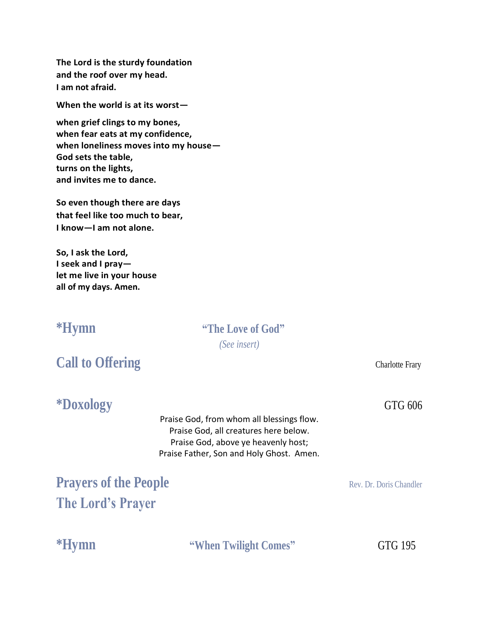**The Lord is the sturdy foundation and the roof over my head. I am not afraid.**

**When the world is at its worst—**

**when grief clings to my bones, when fear eats at my confidence, when loneliness moves into my house— God sets the table, turns on the lights, and invites me to dance.**

**So even though there are days that feel like too much to bear, I know—I am not alone.**

**So, I ask the Lord, I seek and I pray let me live in your house all of my days. Amen.**

#### **\*Hymn "The Love of God"** *(See insert)*

## **Call to Offering** Charlotte Frary

**\*Doxology** GTG 606

Praise God, from whom all blessings flow. Praise God, all creatures here below. Praise God, above ye heavenly host; Praise Father, Son and Holy Ghost. Amen.

**Prayers of the People** Rev. Dr. Doris Chandler **The Lord's Prayer**

**\*Hymn "When Twilight Comes"** GTG 195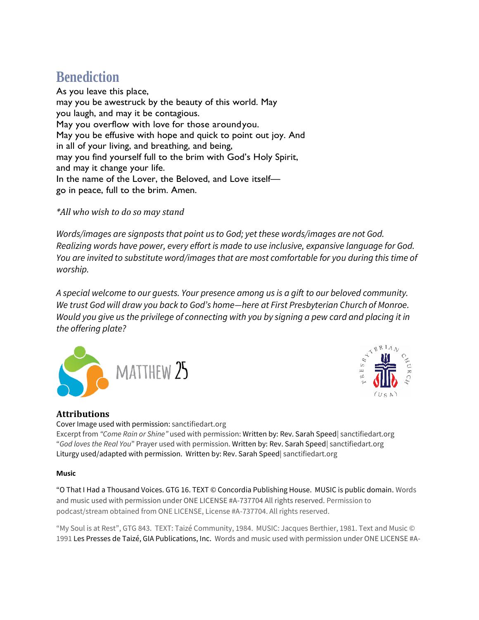## **Benediction**

As you leave this place, may you be awestruck by the beauty of this world. May you laugh, and may it be contagious. May you overflow with love for those aroundyou. May you be effusive with hope and quick to point out joy. And in all of your living, and breathing, and being, may you find yourself full to the brim with God's Holy Spirit, and may it change your life. In the name of the Lover, the Beloved, and Love itself go in peace, full to the brim. Amen. 

*\*All who wish to do so may stand*

*Words/images are signposts that point us to God; yet these words/images are not God. Realizing words have power, every effort is made to use inclusive, expansive language for God. You are invited to substitute word/images that are most comfortable for you during this time of worship.*

*A special welcome to our guests. Your presence among us is a gift to our beloved community. We trust God will draw you back to God's home—here at First Presbyterian Church of Monroe. Would you give us the privilege of connecting with you by signing a pew card and placing it in the offering plate?* 





#### **Attributions**

Cover Image used with permission: sanctifiedart.org

Excerpt from *"Come Rain or Shine"* used with permission: Written by: Rev. Sarah Speed| sanctifiedart.org "*God loves the Real You*" Prayer used with permission. Written by: Rev. Sarah Speed| sanctifiedart.org Liturgy used/adapted with permission. Written by: Rev. Sarah Speed| sanctifiedart.org

#### **Music**

"O That I Had a Thousand Voices. GTG 16. TEXT © Concordia Publishing House. MUSIC is public domain. Words and music used with permission under ONE LICENSE #A-737704 All rights reserved. Permission to podcast/stream obtained from ONE LICENSE, License #A-737704. All rights reserved.

"My Soul is at Rest", GTG 843. TEXT: Taizé Community, 1984. MUSIC: Jacques Berthier, 1981. Text and Music © 1991 Les Presses de Taizé, GIA Publications, Inc. Words and music used with permission under ONE LICENSE #A-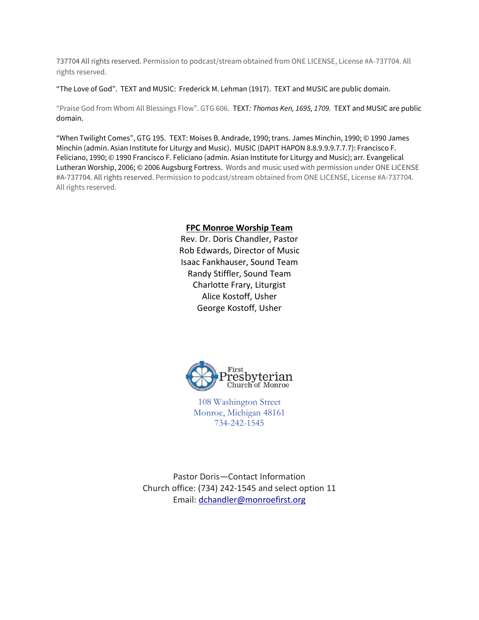737704 All rights reserved. Permission to podcast/stream obtained from ONE LICENSE, License #A-737704. All rights reserved.

"The Love of God".TEXT and MUSIC: Frederick M. Lehman (1917). TEXT and MUSIC are public domain.

"Praise God from Whom All Blessings Flow". GTG 606. TEXT*: Thomas Ken, 1695, 1709.* TEXT and MUSIC are public domain.

"When Twilight Comes", GTG 195.TEXT: Moises B. Andrade, 1990; trans. James Minchin, 1990; © 1990 James Minchin (admin. Asian Institute for Liturgy and Music). MUSIC (DAPIT HAPON 8.8.9.9.9.7.7.7): Francisco F. Feliciano, 1990; © 1990 Francisco F. Feliciano (admin. Asian Institute for Liturgy and Music); arr. Evangelical Lutheran Worship, 2006; © 2006 Augsburg Fortress. Words and music used with permission under ONE LICENSE #A-737704. All rights reserved. Permission to podcast/stream obtained from ONE LICENSE, License #A-737704. All rights reserved.

#### **FPC Monroe Worship Team**

Rev. Dr. Doris Chandler, Pastor Rob Edwards, Director of Music Isaac Fankhauser, Sound Team Randy Stiffler, Sound Team Charlotte Frary, Liturgist Alice Kostoff, Usher George Kostoff, Usher



108 Washington Street Monroe, Michigan 48161 734-242-1545

Pastor Doris—Contact Information Church office: (734) 242-1545 and select option 11 Email: [dchandler@monroefirst.org](mailto:dchandler@monroefirst.org)